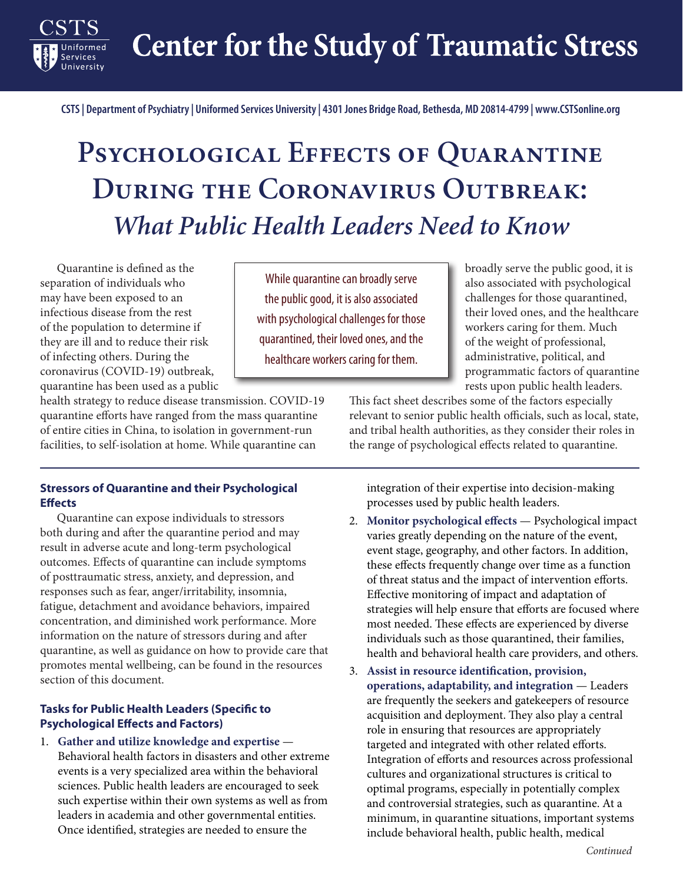**Center for the Study of Traumatic Stress** 

**CSTS | Department of Psychiatry | Uniformed Services University | 4301 Jones Bridge Road, Bethesda, MD 20814-4799 | www.CSTSonline.org**

# PSYCHOLOGICAL EFFECTS OF QUARANTINE **During the Coronavirus Outbreak:** *What Public Health Leaders Need to Know*

Quarantine is defined as the<br>separation of individuals who Quarantine is defined as the may have been exposed to an infectious disease from the rest of the population to determine if they are ill and to reduce their risk of infecting others. During the coronavirus (COVID-19) outbreak, quarantine has been used as a public

Services

While quarantine can broadly serve the public good, it is also associated with psychological challenges for those quarantined, their loved ones, and the healthcare workers caring for them.

broadly serve the public good, it is also associated with psychological challenges for those quarantined, their loved ones, and the healthcare workers caring for them. Much of the weight of professional, administrative, political, and programmatic factors of quarantine rests upon public health leaders.

health strategy to reduce disease transmission. COVID-19 quarantine efforts have ranged from the mass quarantine of entire cities in China, to isolation in government-run facilities, to self-isolation at home. While quarantine can

This fact sheet describes some of the factors especially relevant to senior public health officials, such as local, state, and tribal health authorities, as they consider their roles in the range of psychological effects related to quarantine.

#### **Stressors of Quarantine and their Psychological Effects**

Quarantine can expose individuals to stressors both during and after the quarantine period and may result in adverse acute and long-term psychological outcomes. Effects of quarantine can include symptoms of posttraumatic stress, anxiety, and depression, and responses such as fear, anger/irritability, insomnia, fatigue, detachment and avoidance behaviors, impaired concentration, and diminished work performance. More information on the nature of stressors during and after quarantine, as well as guidance on how to provide care that promotes mental wellbeing, can be found in the resources section of this document.

#### **Tasks for Public Health Leaders (Specific to Psychological Effects and Factors)**

1. **Gather and utilize knowledge and expertise** — Behavioral health factors in disasters and other extreme events is a very specialized area within the behavioral sciences. Public health leaders are encouraged to seek such expertise within their own systems as well as from leaders in academia and other governmental entities. Once identified, strategies are needed to ensure the

integration of their expertise into decision-making processes used by public health leaders.

- 2. **Monitor psychological effects** Psychological impact varies greatly depending on the nature of the event, event stage, geography, and other factors. In addition, these effects frequently change over time as a function of threat status and the impact of intervention efforts. Effective monitoring of impact and adaptation of strategies will help ensure that efforts are focused where most needed. These effects are experienced by diverse individuals such as those quarantined, their families, health and behavioral health care providers, and others.
- 3. **Assist in resource identification, provision, operations, adaptability, and integration** — Leaders are frequently the seekers and gatekeepers of resource acquisition and deployment. They also play a central role in ensuring that resources are appropriately targeted and integrated with other related efforts. Integration of efforts and resources across professional cultures and organizational structures is critical to optimal programs, especially in potentially complex and controversial strategies, such as quarantine. At a minimum, in quarantine situations, important systems include behavioral health, public health, medical